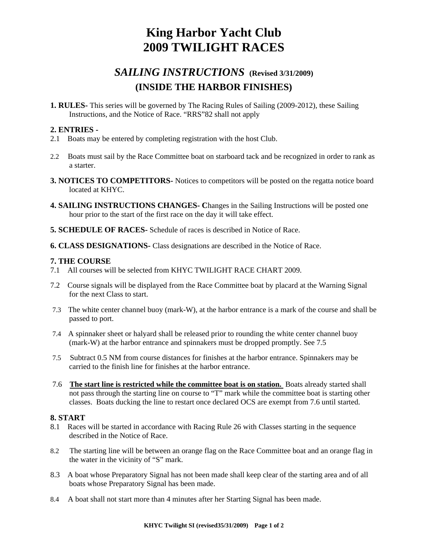# **King Harbor Yacht Club 2009 TWILIGHT RACES**

## *SAILING INSTRUCTIONS* **(Revised 3/31/2009) (INSIDE THE HARBOR FINISHES)**

**1. RULES-** This series will be governed by The Racing Rules of Sailing (2009-2012), these Sailing Instructions, and the Notice of Race. "RRS"82 shall not apply

## **2. ENTRIES -**

- 2.1 Boats may be entered by completing registration with the host Club.
- 2.2 Boats must sail by the Race Committee boat on starboard tack and be recognized in order to rank as a starter.
- **3. NOTICES TO COMPETITORS-** Notices to competitors will be posted on the regatta notice board located at KHYC.
- **4. SAILING INSTRUCTIONS CHANGES- C**hanges in the Sailing Instructions will be posted one hour prior to the start of the first race on the day it will take effect.
- **5. SCHEDULE OF RACES-** Schedule of races is described in Notice of Race.
- **6. CLASS DESIGNATIONS-** Class designations are described in the Notice of Race.

## **7. THE COURSE**

- 7.1 All courses will be selected from KHYC TWILIGHT RACE CHART 2009.
- 7.2 Course signals will be displayed from the Race Committee boat by placard at the Warning Signal for the next Class to start.
- 7.3 The white center channel buoy (mark-W), at the harbor entrance is a mark of the course and shall be passed to port.
- 7.4 A spinnaker sheet or halyard shall be released prior to rounding the white center channel buoy (mark-W) at the harbor entrance and spinnakers must be dropped promptly. See 7.5
- 7.5 Subtract 0.5 NM from course distances for finishes at the harbor entrance. Spinnakers may be carried to the finish line for finishes at the harbor entrance.
- 7.6 **The start line is restricted while the committee boat is on station.** Boats already started shall not pass through the starting line on course to "T" mark while the committee boat is starting other classes. Boats ducking the line to restart once declared OCS are exempt from 7.6 until started.

## **8. START**

- 8.1 Races will be started in accordance with Racing Rule 26 with Classes starting in the sequence described in the Notice of Race.
- 8.2 The starting line will be between an orange flag on the Race Committee boat and an orange flag in the water in the vicinity of "S" mark.
- 8.3 A boat whose Preparatory Signal has not been made shall keep clear of the starting area and of all boats whose Preparatory Signal has been made.
- 8.4 A boat shall not start more than 4 minutes after her Starting Signal has been made.